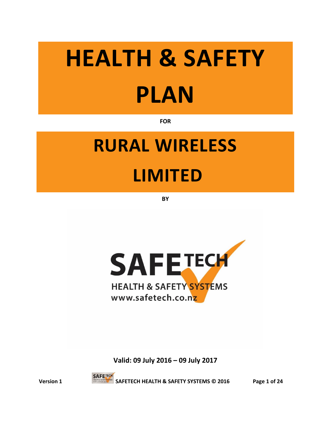# **HEALTH & SAFETY PLAN**

**FOR**

# **RURAL WIRELESS LIMITED**

**BY**



**Valid: 09 July 2016 – 09 July 2017**

**Version 1 SAFETECH HEALTH & SAFETY SYSTEMS © 2016 Page 1 of 24**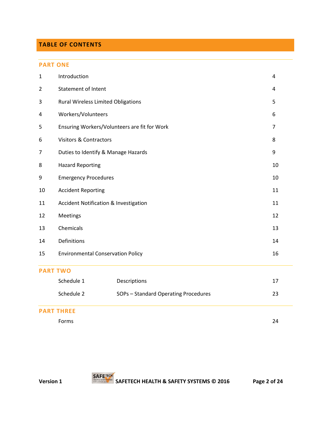# **TABLE OF CONTENTS**

#### **PART ONE**

| $\mathbf 1$    | Introduction                                 | 4                                    |                |
|----------------|----------------------------------------------|--------------------------------------|----------------|
| $\overline{2}$ | Statement of Intent                          | 4                                    |                |
| 3              | <b>Rural Wireless Limited Obligations</b>    | 5                                    |                |
| 4              | Workers/Volunteers                           |                                      | 6              |
| 5              | Ensuring Workers/Volunteers are fit for Work |                                      | $\overline{7}$ |
| 6              | <b>Visitors &amp; Contractors</b>            | 8                                    |                |
| 7              | Duties to Identify & Manage Hazards          |                                      | 9              |
| 8              | <b>Hazard Reporting</b>                      |                                      | 10             |
| 9              | <b>Emergency Procedures</b>                  | 10                                   |                |
| 10             | <b>Accident Reporting</b>                    |                                      | 11             |
| 11             | Accident Notification & Investigation        |                                      | 11             |
| 12             | Meetings                                     |                                      | 12             |
| 13             | Chemicals                                    |                                      | 13             |
| 14             | Definitions                                  |                                      | 14             |
| 15             | <b>Environmental Conservation Policy</b>     |                                      | 16             |
|                | <b>PART TWO</b>                              |                                      |                |
|                | Schedule 1                                   | Descriptions                         | 17             |
|                | Schedule 2                                   | SOPs - Standard Operating Procedures | 23             |
|                | <b>PART THREE</b>                            |                                      |                |
|                | Forms                                        |                                      |                |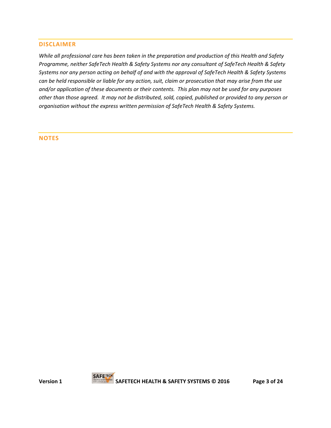#### **DISCLAIMER**

*While all professional care has been taken in the preparation and production of this Health and Safety Programme, neither SafeTech Health & Safety Systems nor any consultant of SafeTech Health & Safety Systems nor any person acting on behalf of and with the approval of SafeTech Health & Safety Systems can be held responsible or liable for any action, suit, claim or prosecution that may arise from the use and/or application of these documents or their contents. This plan may not be used for any purposes other than those agreed. It may not be distributed, sold, copied, published or provided to any person or organisation without the express written permission of SafeTech Health & Safety Systems.*

#### **NOTES**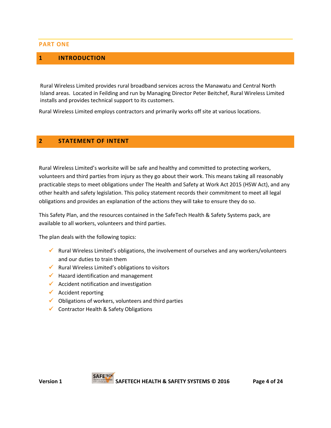#### **PART ONE**

#### **1 INTRODUCTION**

Rural Wireless Limited provides rural broadband services across the Manawatu and Central North Island areas. Located in Feilding and run by Managing Director Peter Beitchef, Rural Wireless Limited installs and provides technical support to its customers.

Rural Wireless Limited employs contractors and primarily works off site at various locations.

# **2 STATEMENT OF INTENT**

Rural Wireless Limited's worksite will be safe and healthy and committed to protecting workers, volunteers and third parties from injury as they go about their work. This means taking all reasonably practicable steps to meet obligations under The Health and Safety at Work Act 2015 (HSW Act), and any other health and safety legislation. This policy statement records their commitment to meet all legal obligations and provides an explanation of the actions they will take to ensure they do so.

This Safety Plan, and the resources contained in the SafeTech Health & Safety Systems pack, are available to all workers, volunteers and third parties.

The plan deals with the following topics:

- **K** Rural Wireless Limited's obligations, the involvement of ourselves and any workers/volunteers and our duties to train them
- $\checkmark$  Rural Wireless Limited's obligations to visitors
- $\checkmark$  Hazard identification and management
- $\checkmark$  Accident notification and investigation
- $\checkmark$  Accident reporting
- $\checkmark$  Obligations of workers, volunteers and third parties
- ◆ Contractor Health & Safety Obligations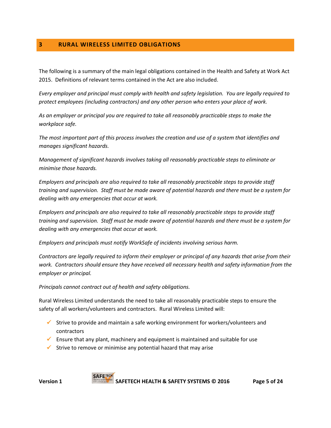# **3 RURAL WIRELESS LIMITED OBLIGATIONS**

The following is a summary of the main legal obligations contained in the Health and Safety at Work Act 2015. Definitions of relevant terms contained in the Act are also included.

*Every employer and principal must comply with health and safety legislation. You are legally required to protect employees (including contractors) and any other person who enters your place of work.*

*As an employer or principal you are required to take all reasonably practicable steps to make the workplace safe.*

*The most important part of this process involves the creation and use of a system that identifies and manages significant hazards.*

*Management of significant hazards involves taking all reasonably practicable steps to eliminate or minimise those hazards.* 

*Employers and principals are also required to take all reasonably practicable steps to provide staff training and supervision. Staff must be made aware of potential hazards and there must be a system for dealing with any emergencies that occur at work.*

*Employers and principals are also required to take all reasonably practicable steps to provide staff training and supervision. Staff must be made aware of potential hazards and there must be a system for dealing with any emergencies that occur at work.*

*Employers and principals must notify WorkSafe of incidents involving serious harm.*

*Contractors are legally required to inform their employer or principal of any hazards that arise from their work. Contractors should ensure they have received all necessary health and safety information from the employer or principal.*

#### *Principals cannot contract out of health and safety obligations.*

Rural Wireless Limited understands the need to take all reasonably practicable steps to ensure the safety of all workers/volunteers and contractors. Rural Wireless Limited will:

- Strive to provide and maintain a safe working environment for workers/volunteers and contractors
- **Ensure that any plant, machinery and equipment is maintained and suitable for use**
- $\checkmark$  Strive to remove or minimise any potential hazard that may arise

**Version 1 SAFETECH HEALTH & SAFETY SYSTEMS © 2016 Page 5 of 24**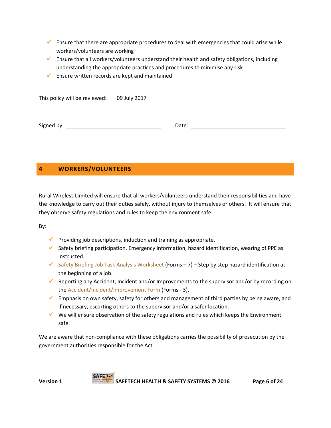- Ensure that there are appropriate procedures to deal with emergencies that could arise while workers/volunteers are working
- $\checkmark$  Ensure that all workers/volunteers understand their health and safety obligations, including understanding the appropriate practices and procedures to minimise any risk
- $\checkmark$  Ensure written records are kept and maintained

This policy will be reviewed: 09 July 2017

Signed by: \_\_\_\_\_\_\_\_\_\_\_\_\_\_\_\_\_\_\_\_\_\_\_\_\_\_\_\_\_\_\_\_ Date: \_\_\_\_\_\_\_\_\_\_\_\_\_\_\_\_\_\_\_\_\_\_\_\_\_\_\_\_\_\_\_\_

# **4 WORKERS/VOLUNTEERS**

Rural Wireless Limited will ensure that all workers/volunteers understand their responsibilities and have the knowledge to carry out their duties safely, without injury to themselves or others. It will ensure that they observe safety regulations and rules to keep the environment safe.

By:

- $\checkmark$  Providing job descriptions, induction and training as appropriate.
- $\checkmark$  Safety briefing participation. Emergency information, hazard identification, wearing of PPE as instructed.
- $\checkmark$  Safety Briefing Job Task Analysis Worksheet (Forms 7) Step by step hazard identification at the beginning of a job.
- Reporting any Accident, Incident and/or Improvements to the supervisor and/or by recording on the Accident/Incident/Improvement Form (Forms - 3).
- Emphasis on own safety, safety for others and management of third parties by being aware, and if necessary, escorting others to the supervisor and/or a safer location.
- $\checkmark$  We will ensure observation of the safety regulations and rules which keeps the Environment safe.

We are aware that non-compliance with these obligations carries the possibility of prosecution by the government authorities responsible for the Act.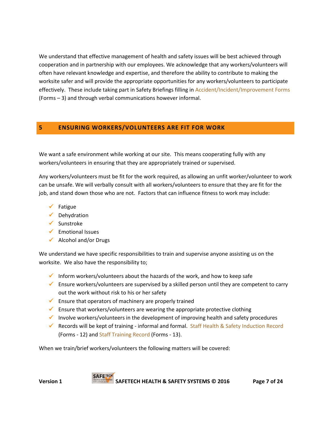We understand that effective management of health and safety issues will be best achieved through cooperation and in partnership with our employees. We acknowledge that any workers/volunteers will often have relevant knowledge and expertise, and therefore the ability to contribute to making the worksite safer and will provide the appropriate opportunities for any workers/volunteers to participate effectively. These include taking part in Safety Briefings filling in Accident/Incident/Improvement Forms (Forms – 3) and through verbal communications however informal.

# **5 ENSURING WORKERS/VOLUNTEERS ARE FIT FOR WORK**

We want a safe environment while working at our site. This means cooperating fully with any workers/volunteers in ensuring that they are appropriately trained or supervised.

Any workers/volunteers must be fit for the work required, as allowing an unfit worker/volunteer to work can be unsafe. We will verbally consult with all workers/volunteers to ensure that they are fit for the job, and stand down those who are not. Factors that can influence fitness to work may include:

- $\checkmark$  Fatigue
- $\checkmark$  Dehydration
- $\checkmark$  Sunstroke
- $\checkmark$  Emotional Issues
- $\checkmark$  Alcohol and/or Drugs

We understand we have specific responsibilities to train and supervise anyone assisting us on the worksite. We also have the responsibility to;

- Inform workers/volunteers about the hazards of the work, and how to keep safe
- $\checkmark$  Ensure workers/volunteers are supervised by a skilled person until they are competent to carry out the work without risk to his or her safety
- $\checkmark$  Ensure that operators of machinery are properly trained
- $\checkmark$  Ensure that workers/volunteers are wearing the appropriate protective clothing
- Involve workers/volunteers in the development of improving health and safety procedures
- Records will be kept of training informal and formal. Staff Health & Safety Induction Record (Forms - 12) and Staff Training Record (Forms - 13).

When we train/brief workers/volunteers the following matters will be covered:

**SAFETECH Version 1 SAFETECH HEALTH & SAFETY SYSTEMS © 2016 Page 7 of 24**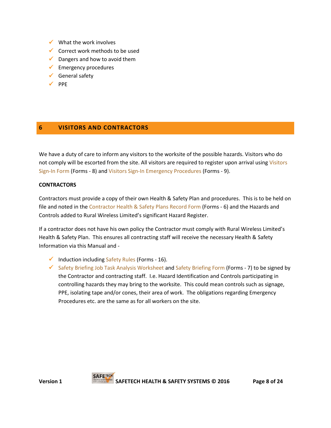- $\checkmark$  What the work involves
- $\checkmark$  Correct work methods to be used
- $\checkmark$  Dangers and how to avoid them
- $\checkmark$  Emergency procedures
- $\checkmark$  General safety
- $\checkmark$  PPE

# **6 VISITORS AND CONTRACTORS**

We have a duty of care to inform any visitors to the worksite of the possible hazards. Visitors who do not comply will be escorted from the site. All visitors are required to register upon arrival using Visitors Sign-In Form (Forms - 8) and Visitors Sign-In Emergency Procedures (Forms - 9).

#### **CONTRACTORS**

Contractors must provide a copy of their own Health & Safety Plan and procedures. This is to be held on file and noted in the Contractor Health & Safety Plans Record Form (Forms - 6) and the Hazards and Controls added to Rural Wireless Limited's significant Hazard Register.

If a contractor does not have his own policy the Contractor must comply with Rural Wireless Limited's Health & Safety Plan. This ensures all contracting staff will receive the necessary Health & Safety Information via this Manual and -

- $\checkmark$  Induction including Safety Rules (Forms 16).
- Safety Briefing Job Task Analysis Worksheet and Safety Briefing Form (Forms 7) to be signed by the Contractor and contracting staff. I.e. Hazard Identification and Controls participating in controlling hazards they may bring to the worksite. This could mean controls such as signage, PPE, isolating tape and/or cones, their area of work. The obligations regarding Emergency Procedures etc. are the same as for all workers on the site.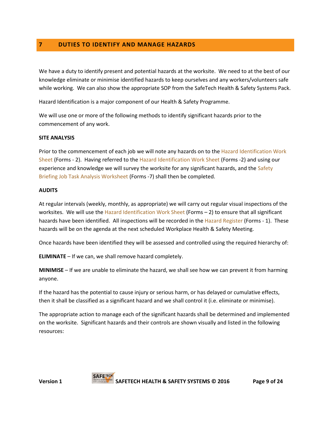# **7 DUTIES TO IDENTIFY AND MANAGE HAZARDS**

We have a duty to identify present and potential hazards at the worksite. We need to at the best of our knowledge eliminate or minimise identified hazards to keep ourselves and any workers/volunteers safe while working. We can also show the appropriate SOP from the SafeTech Health & Safety Systems Pack.

Hazard Identification is a major component of our Health & Safety Programme.

We will use one or more of the following methods to identify significant hazards prior to the commencement of any work.

#### **SITE ANALYSIS**

Prior to the commencement of each job we will note any hazards on to the Hazard Identification Work Sheet (Forms - 2). Having referred to the Hazard Identification Work Sheet (Forms -2) and using our experience and knowledge we will survey the worksite for any significant hazards, and the Safety Briefing Job Task Analysis Worksheet (Forms -7) shall then be completed.

#### **AUDITS**

At regular intervals (weekly, monthly, as appropriate) we will carry out regular visual inspections of the worksites. We will use the Hazard Identification Work Sheet (Forms - 2) to ensure that all significant hazards have been identified. All inspections will be recorded in the Hazard Register (Forms - 1). These hazards will be on the agenda at the next scheduled Workplace Health & Safety Meeting.

Once hazards have been identified they will be assessed and controlled using the required hierarchy of:

**ELIMINATE** – If we can, we shall remove hazard completely.

**MINIMISE** – If we are unable to eliminate the hazard, we shall see how we can prevent it from harming anyone.

If the hazard has the potential to cause injury or serious harm, or has delayed or cumulative effects, then it shall be classified as a significant hazard and we shall control it (i.e. eliminate or minimise).

The appropriate action to manage each of the significant hazards shall be determined and implemented on the worksite. Significant hazards and their controls are shown visually and listed in the following resources: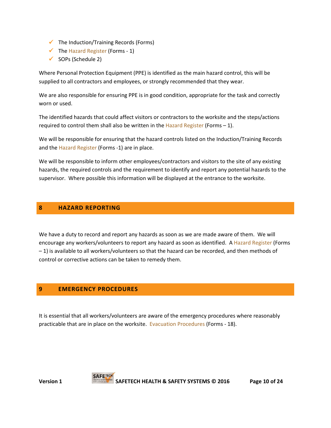- $\checkmark$  The Induction/Training Records (Forms)
- $\checkmark$  The Hazard Register (Forms 1)
- $\checkmark$  SOPs (Schedule 2)

Where Personal Protection Equipment (PPE) is identified as the main hazard control, this will be supplied to all contractors and employees, or strongly recommended that they wear.

We are also responsible for ensuring PPE is in good condition, appropriate for the task and correctly worn or used.

The identified hazards that could affect visitors or contractors to the worksite and the steps/actions required to control them shall also be written in the Hazard Register (Forms  $-1$ ).

We will be responsible for ensuring that the hazard controls listed on the Induction/Training Records and the Hazard Register (Forms -1) are in place.

We will be responsible to inform other employees/contractors and visitors to the site of any existing hazards, the required controls and the requirement to identify and report any potential hazards to the supervisor. Where possible this information will be displayed at the entrance to the worksite.

# **8 HAZARD REPORTING**

We have a duty to record and report any hazards as soon as we are made aware of them. We will encourage any workers/volunteers to report any hazard as soon as identified. A Hazard Register (Forms – 1) is available to all workers/volunteers so that the hazard can be recorded, and then methods of control or corrective actions can be taken to remedy them.

# **9 EMERGENCY PROCEDURES**

It is essential that all workers/volunteers are aware of the emergency procedures where reasonably practicable that are in place on the worksite. Evacuation Procedures (Forms - 18).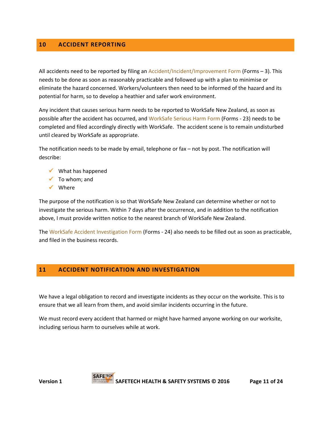# **10 ACCIDENT REPORTING**

All accidents need to be reported by filing an Accident/Incident/Improvement Form (Forms – 3). This needs to be done as soon as reasonably practicable and followed up with a plan to minimise or eliminate the hazard concerned. Workers/volunteers then need to be informed of the hazard and its potential for harm, so to develop a heathier and safer work environment.

Any incident that causes serious harm needs to be reported to WorkSafe New Zealand, as soon as possible after the accident has occurred, and WorkSafe Serious Harm Form (Forms - 23) needs to be completed and filed accordingly directly with WorkSafe. The accident scene is to remain undisturbed until cleared by WorkSafe as appropriate.

The notification needs to be made by email, telephone or fax – not by post. The notification will describe:

- $\checkmark$  What has happened
- $\checkmark$  To whom; and
- $\checkmark$  Where

The purpose of the notification is so that WorkSafe New Zealand can determine whether or not to investigate the serious harm. Within 7 days after the occurrence, and in addition to the notification above, I must provide written notice to the nearest branch of WorkSafe New Zealand.

The WorkSafe Accident Investigation Form (Forms - 24) also needs to be filled out as soon as practicable, and filed in the business records.

# **11 ACCIDENT NOTIFICATION AND INVESTIGATION**

We have a legal obligation to record and investigate incidents as they occur on the worksite. This is to ensure that we all learn from them, and avoid similar incidents occurring in the future.

We must record every accident that harmed or might have harmed anyone working on our worksite, including serious harm to ourselves while at work.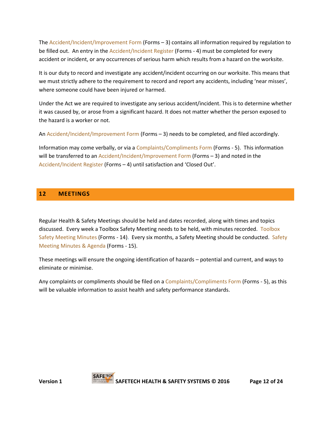The Accident/Incident/Improvement Form (Forms – 3) contains all information required by regulation to be filled out. An entry in the Accident/Incident Register (Forms - 4) must be completed for every accident or incident, or any occurrences of serious harm which results from a hazard on the worksite.

It is our duty to record and investigate any accident/incident occurring on our worksite. This means that we must strictly adhere to the requirement to record and report any accidents, including 'near misses', where someone could have been injured or harmed.

Under the Act we are required to investigate any serious accident/incident. This is to determine whether it was caused by, or arose from a significant hazard. It does not matter whether the person exposed to the hazard is a worker or not.

An Accident/Incident/Improvement Form (Forms - 3) needs to be completed, and filed accordingly.

Information may come verbally, or via a Complaints/Compliments Form (Forms - 5). This information will be transferred to an Accident/Incident/Improvement Form (Forms – 3) and noted in the Accident/Incident Register (Forms – 4) until satisfaction and 'Closed Out'.

# **12 MEETINGS**

Regular Health & Safety Meetings should be held and dates recorded, along with times and topics discussed. Every week a Toolbox Safety Meeting needs to be held, with minutes recorded. Toolbox Safety Meeting Minutes (Forms - 14). Every six months, a Safety Meeting should be conducted. Safety Meeting Minutes & Agenda (Forms - 15).

These meetings will ensure the ongoing identification of hazards – potential and current, and ways to eliminate or minimise.

Any complaints or compliments should be filed on a Complaints/Compliments Form (Forms - 5), as this will be valuable information to assist health and safety performance standards.

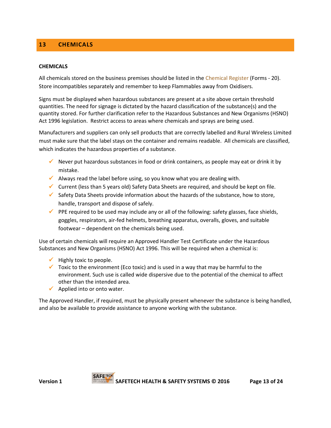# **13 CHEMICALS**

#### **CHEMICALS**

All chemicals stored on the business premises should be listed in the Chemical Register (Forms - 20). Store incompatibles separately and remember to keep Flammables away from Oxidisers.

Signs must be displayed when hazardous substances are present at a site above certain threshold quantities. The need for signage is dictated by the hazard classification of the substance(s) and the quantity stored. For further clarification refer to the Hazardous Substances and New Organisms (HSNO) Act 1996 legislation. Restrict access to areas where chemicals and sprays are being used.

Manufacturers and suppliers can only sell products that are correctly labelled and Rural Wireless Limited must make sure that the label stays on the container and remains readable. All chemicals are classified, which indicates the hazardous properties of a substance.

- Never put hazardous substances in food or drink containers, as people may eat or drink it by mistake.
- Always read the label before using, so you know what you are dealing with.
- $\checkmark$  Current (less than 5 years old) Safety Data Sheets are required, and should be kept on file.
- $\checkmark$  Safety Data Sheets provide information about the hazards of the substance, how to store, handle, transport and dispose of safely.
- $\checkmark$  PPE required to be used may include any or all of the following: safety glasses, face shields, goggles, respirators, air-fed helmets, breathing apparatus, overalls, gloves, and suitable footwear – dependent on the chemicals being used.

Use of certain chemicals will require an Approved Handler Test Certificate under the Hazardous Substances and New Organisms (HSNO) Act 1996. This will be required when a chemical is:

- $\checkmark$  Highly toxic to people.
- $\checkmark$  Toxic to the environment (Eco toxic) and is used in a way that may be harmful to the environment. Such use is called wide dispersive due to the potential of the chemical to affect other than the intended area.
- $\checkmark$  Applied into or onto water.

The Approved Handler, if required, must be physically present whenever the substance is being handled, and also be available to provide assistance to anyone working with the substance.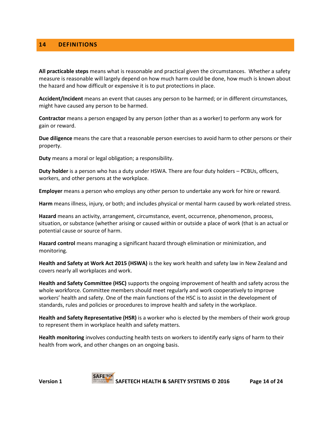# **14 DEFINITIONS**

**All practicable steps** means what is reasonable and practical given the circumstances. Whether a safety measure is reasonable will largely depend on how much harm could be done, how much is known about the hazard and how difficult or expensive it is to put protections in place.

**Accident/Incident** means an event that causes any person to be harmed; or in different circumstances, might have caused any person to be harmed.

**Contractor** means a person engaged by any person (other than as a worker) to perform any work for gain or reward.

**Due diligence** means the care that a reasonable person exercises to avoid harm to other persons or their property.

**Duty** means a moral or legal obligation; a responsibility.

**Duty holder** is a person who has a duty under HSWA. There are four duty holders – PCBUs, officers, workers, and other persons at the workplace.

**Employer** means a person who employs any other person to undertake any work for hire or reward.

**Harm** means illness, injury, or both; and includes physical or mental harm caused by work-related stress.

**Hazard** means an activity, arrangement, circumstance, event, occurrence, phenomenon, process, situation, or substance (whether arising or caused within or outside a place of work (that is an actual or potential cause or source of harm.

**Hazard control** means managing a significant hazard through elimination or minimization, and monitoring.

**Health and Safety at Work Act 2015 (HSWA)** is the key work health and safety law in New Zealand and covers nearly all workplaces and work.

**Health and Safety Committee (HSC)** supports the ongoing improvement of health and safety across the whole workforce. Committee members should meet regularly and work cooperatively to improve workers' health and safety. One of the main functions of the HSC is to assist in the development of standards, rules and policies or procedures to improve health and safety in the workplace.

**Health and Safety Representative (HSR)** is a worker who is elected by the members of their work group to represent them in workplace health and safety matters.

**Health monitoring** involves conducting health tests on workers to identify early signs of harm to their health from work, and other changes on an ongoing basis.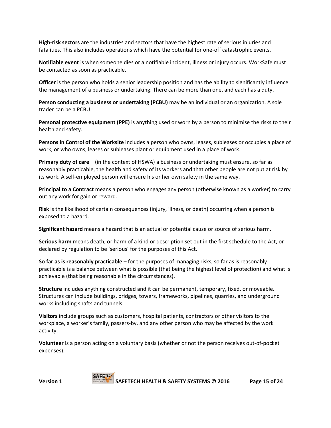**High-risk sectors** are the industries and sectors that have the highest rate of serious injuries and fatalities. This also includes operations which have the potential for one-off catastrophic events.

**Notifiable event** is when someone dies or a notifiable incident, illness or injury occurs. WorkSafe must be contacted as soon as practicable.

**Officer** is the person who holds a senior leadership position and has the ability to significantly influence the management of a business or undertaking. There can be more than one, and each has a duty.

**Person conducting a business or undertaking (PCBU)** may be an individual or an organization. A sole trader can be a PCBU.

**Personal protective equipment (PPE)** is anything used or worn by a person to minimise the risks to their health and safety.

**Persons in Control of the Worksite** includes a person who owns, leases, subleases or occupies a place of work, or who owns, leases or subleases plant or equipment used in a place of work.

**Primary duty of care** – (in the context of HSWA) a business or undertaking must ensure, so far as reasonably practicable, the health and safety of its workers and that other people are not put at risk by its work. A self-employed person will ensure his or her own safety in the same way.

**Principal to a Contract** means a person who engages any person (otherwise known as a worker) to carry out any work for gain or reward.

**Risk** is the likelihood of certain consequences (injury, illness, or death) occurring when a person is exposed to a hazard.

**Significant hazard** means a hazard that is an actual or potential cause or source of serious harm.

**Serious harm** means death, or harm of a kind or description set out in the first schedule to the Act, or declared by regulation to be 'serious' for the purposes of this Act.

**So far as is reasonably practicable** – for the purposes of managing risks, so far as is reasonably practicable is a balance between what is possible (that being the highest level of protection) and what is achievable (that being reasonable in the circumstances).

**Structure** includes anything constructed and it can be permanent, temporary, fixed, or moveable. Structures can include buildings, bridges, towers, frameworks, pipelines, quarries, and underground works including shafts and tunnels.

**Visitors** include groups such as customers, hospital patients, contractors or other visitors to the workplace, a worker's family, passers-by, and any other person who may be affected by the work activity.

**Volunteer** is a person acting on a voluntary basis (whether or not the person receives out-of-pocket expenses).

**SAFETECH Version 1 SAFETECH HEALTH & SAFETY SYSTEMS © 2016 Page 15 of 24**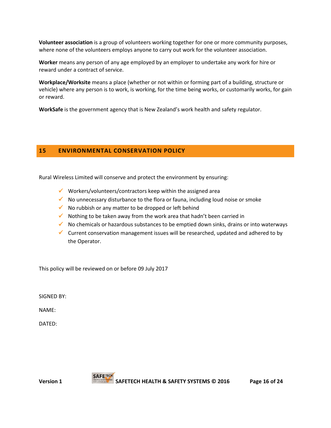**Volunteer association** is a group of volunteers working together for one or more community purposes, where none of the volunteers employs anyone to carry out work for the volunteer association.

**Worker** means any person of any age employed by an employer to undertake any work for hire or reward under a contract of service.

**Workplace/Worksite** means a place (whether or not within or forming part of a building, structure or vehicle) where any person is to work, is working, for the time being works, or customarily works, for gain or reward.

**WorkSafe** is the government agency that is New Zealand's work health and safety regulator.

# **15 ENVIRONMENTAL CONSERVATION POLICY**

Rural Wireless Limited will conserve and protect the environment by ensuring:

- $\checkmark$  Workers/volunteers/contractors keep within the assigned area
- $\checkmark$  No unnecessary disturbance to the flora or fauna, including loud noise or smoke
- $\checkmark$  No rubbish or any matter to be dropped or left behind
- $\checkmark$  Nothing to be taken away from the work area that hadn't been carried in
- $\checkmark$  No chemicals or hazardous substances to be emptied down sinks, drains or into waterways
- $\checkmark$  Current conservation management issues will be researched, updated and adhered to by the Operator.

This policy will be reviewed on or before 09 July 2017

SIGNED BY:

NAME:

DATED: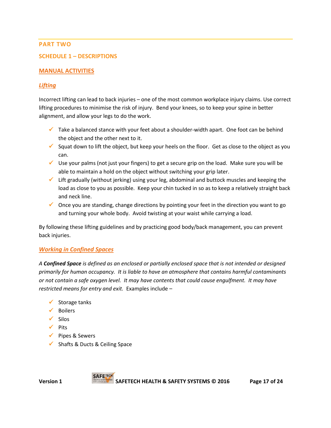# **PART TWO**

#### **SCHEDULE 1 – DESCRIPTIONS**

#### **MANUAL ACTIVITIES**

#### *Lifting*

Incorrect lifting can lead to back injuries – one of the most common workplace injury claims. Use correct lifting procedures to minimise the risk of injury. Bend your knees, so to keep your spine in better alignment, and allow your legs to do the work.

- $\checkmark$  Take a balanced stance with your feet about a shoulder-width apart. One foot can be behind the object and the other next to it.
- $\checkmark$  Squat down to lift the object, but keep your heels on the floor. Get as close to the object as you can.
- $\checkmark$  Use your palms (not just your fingers) to get a secure grip on the load. Make sure you will be able to maintain a hold on the object without switching your grip later.
- $\checkmark$  Lift gradually (without jerking) using your leg, abdominal and buttock muscles and keeping the load as close to you as possible. Keep your chin tucked in so as to keep a relatively straight back and neck line.
- $\checkmark$  Once you are standing, change directions by pointing your feet in the direction you want to go and turning your whole body. Avoid twisting at your waist while carrying a load.

By following these lifting guidelines and by practicing good body/back management, you can prevent back injuries.

#### *Working in Confined Spaces*

*A Confined Space is defined as an enclosed or partially enclosed space that is not intended or designed primarily for human occupancy. It is liable to have an atmosphere that contains harmful contaminants or not contain a safe oxygen level. It may have contents that could cause engulfment. It may have restricted means for entry and exit.* Examples include –

- $\checkmark$  Storage tanks
- $\checkmark$  Boilers
- $\checkmark$  Silos
- $\checkmark$  Pits
- $\checkmark$  Pipes & Sewers
- $\checkmark$  Shafts & Ducts & Ceiling Space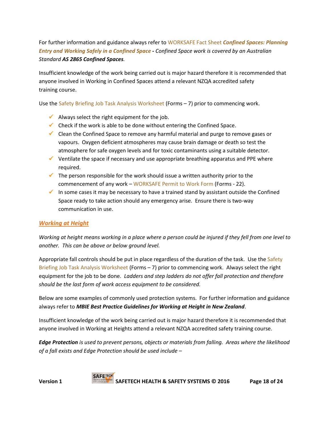For further information and guidance always refer to WORKSAFE Fact Sheet *Confined Spaces: Planning Entry and Working Safely in a Confined Space - Confined Space work is covered by an Australian Standard AS 2865 Confined Spaces.*

Insufficient knowledge of the work being carried out is major hazard therefore it is recommended that anyone involved in Working in Confined Spaces attend a relevant NZQA accredited safety training course.

Use the Safety Briefing Job Task Analysis Worksheet (Forms – 7) prior to commencing work.

- $\checkmark$  Always select the right equipment for the job.
- $\checkmark$  Check if the work is able to be done without entering the Confined Space.
- $\checkmark$  Clean the Confined Space to remove any harmful material and purge to remove gases or vapours. Oxygen deficient atmospheres may cause brain damage or death so test the atmosphere for safe oxygen levels and for toxic contaminants using a suitable detector.
- $\checkmark$  Ventilate the space if necessary and use appropriate breathing apparatus and PPE where required.
- $\checkmark$  The person responsible for the work should issue a written authority prior to the commencement of any work – WORKSAFE Permit to Work Form (Forms - 22).
- In some cases it may be necessary to have a trained stand by assistant outside the Confined Space ready to take action should any emergency arise. Ensure there is two-way communication in use.

#### *Working at Height*

*Working at height means working in a place where a person could be injured if they fell from one level to another. This can be above or below ground level.*

Appropriate fall controls should be put in place regardless of the duration of the task. Use the Safety Briefing Job Task Analysis Worksheet (Forms – 7) prior to commencing work. Always select the right equipment for the job to be done. *Ladders and step ladders do not offer fall protection and therefore should be the last form of work access equipment to be considered.*

Below are some examples of commonly used protection systems. For further information and guidance always refer to *MBIE Best Practice Guidelines for Working at Height in New Zealand*.

Insufficient knowledge of the work being carried out is major hazard therefore it is recommended that anyone involved in Working at Heights attend a relevant NZQA accredited safety training course.

*Edge Protection is used to prevent persons, objects or materials from falling. Areas where the likelihood of a fall exists and Edge Protection should be used include –*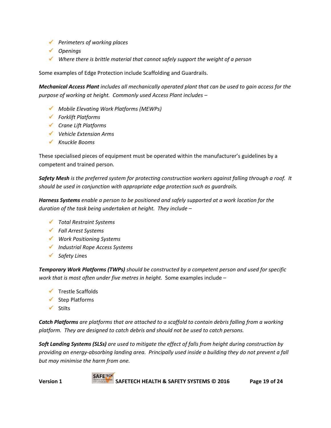- *Perimeters of working places*
- *Openings*
- *Where there is brittle material that cannot safely support the weight of a person*

Some examples of Edge Protection include Scaffolding and Guardrails.

*Mechanical Access Plant includes all mechanically operated plant that can be used to gain access for the purpose of working at height. Commonly used Access Plant includes –*

- *Mobile Elevating Work Platforms (MEWPs)*
- *Forklift Platforms*
- *Crane Lift Platforms*
- *Vehicle Extension Arms*
- *Knuckle Booms*

These specialised pieces of equipment must be operated within the manufacturer's guidelines by a competent and trained person.

*Safety Mesh is the preferred system for protecting construction workers against falling through a roof. It should be used in conjunction with appropriate edge protection such as guardrails.*

*Harness Systems enable a person to be positioned and safely supported at a work location for the duration of the task being undertaken at height. They include –*

- *Total Restraint Systems*
- *Fall Arrest Systems*
- *Work Positioning Systems*
- *Industrial Rope Access Systems*
- *Safety Lin*es

*Temporary Work Platforms (TWPs) should be constructed by a competent person and used for specific work that is most often under five metres in height.* Some examples include –

- $\checkmark$  Trestle Scaffolds
- $\checkmark$  Step Platforms
- $\checkmark$  Stilts

*Catch Platforms are platforms that are attached to a scaffold to contain debris falling from a working platform. They are designed to catch debris and should not be used to catch persons.*

*Soft Landing Systems (SLSs) are used to mitigate the effect of falls from height during construction by providing an energy-absorbing landing area. Principally used inside a building they do not prevent a fall but may minimise the harm from one.*

**SAFETECH Version 1 SAFETECH HEALTH & SAFETY SYSTEMS © 2016 Page 19 of 24**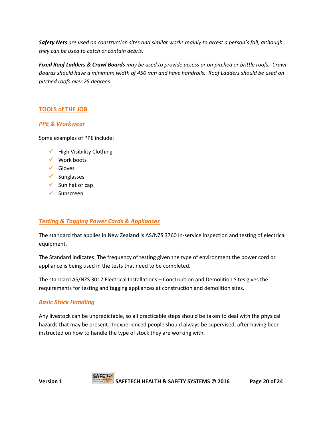*Safety Nets are used on construction sites and similar works mainly to arrest a person's fall, although they can be used to catch or contain debris.*

*Fixed Roof Ladders & Crawl Boards may be used to provide access or on pitched or brittle roofs. Crawl Boards should have a minimum width of 450 mm and have handrails. Roof Ladders should be used on pitched roofs over 25 degrees.*

# **TOOLS of THE JOB**

# *PPE & Workwear*

Some examples of PPE include:

- $\checkmark$  High Visibility Clothing
- $\checkmark$  Work boots
- $\checkmark$  Gloves
- $\checkmark$  Sunglasses
- $\checkmark$  Sun hat or cap
- $\checkmark$  Sunscreen

# *Testing & Tagging Power Cords & Appliances*

The standard that applies in New Zealand is AS/NZS 3760 In-service inspection and testing of electrical equipment.

The Standard indicates: The frequency of testing given the type of environment the power cord or appliance is being used in the tests that need to be completed.

The standard AS/NZS 3012 Electrical Installations – Construction and Demolition Sites gives the requirements for testing and tagging appliances at construction and demolition sites.

# *Basic Stock Handling*

Any livestock can be unpredictable, so all practicable steps should be taken to deal with the physical hazards that may be present. Inexperienced people should always be supervised, after having been instructed on how to handle the type of stock they are working with.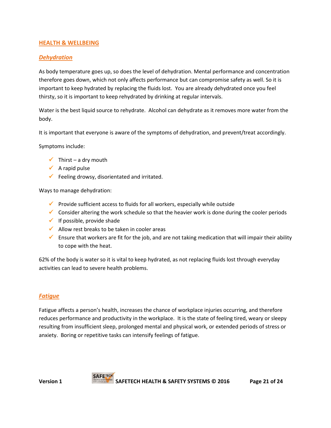# **HEALTH & WELLBEING**

#### *Dehydration*

As body temperature goes up, so does the level of dehydration. Mental performance and concentration therefore goes down, which not only affects performance but can compromise safety as well. So it is important to keep hydrated by replacing the fluids lost. You are already dehydrated once you feel thirsty, so it is important to keep rehydrated by drinking at regular intervals.

Water is the best liquid source to rehydrate. Alcohol can dehydrate as it removes more water from the body.

It is important that everyone is aware of the symptoms of dehydration, and prevent/treat accordingly.

Symptoms include:

- $\checkmark$  Thirst a dry mouth
- $\checkmark$  A rapid pulse
- $\checkmark$  Feeling drowsy, disorientated and irritated.

Ways to manage dehydration:

- $\checkmark$  Provide sufficient access to fluids for all workers, especially while outside
- Consider altering the work schedule so that the heavier work is done during the cooler periods
- $\checkmark$  If possible, provide shade
- $\checkmark$  Allow rest breaks to be taken in cooler areas
- Ensure that workers are fit for the job, and are not taking medication that will impair their ability to cope with the heat.

62% of the body is water so it is vital to keep hydrated, as not replacing fluids lost through everyday activities can lead to severe health problems.

#### *Fatigue*

Fatigue affects a person's health, increases the chance of workplace injuries occurring, and therefore reduces performance and productivity in the workplace. It is the state of feeling tired, weary or sleepy resulting from insufficient sleep, prolonged mental and physical work, or extended periods of stress or anxiety. Boring or repetitive tasks can intensify feelings of fatigue.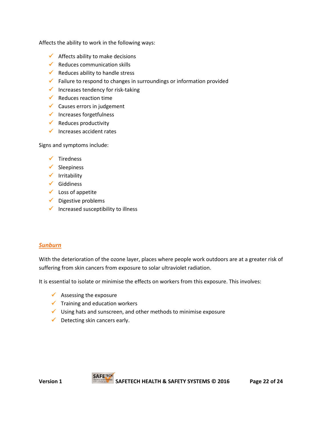Affects the ability to work in the following ways:

- $\checkmark$  Affects ability to make decisions
- $\checkmark$  Reduces communication skills
- $\checkmark$  Reduces ability to handle stress
- $\checkmark$  Failure to respond to changes in surroundings or information provided
- $\checkmark$  Increases tendency for risk-taking
- $\checkmark$  Reduces reaction time
- $\checkmark$  Causes errors in judgement
- $\checkmark$  Increases forgetfulness
- $\checkmark$  Reduces productivity
- $\checkmark$  Increases accident rates

Signs and symptoms include:

- $\checkmark$  Tiredness
- $\checkmark$  Sleepiness
- $\checkmark$  Irritability
- $\checkmark$  Giddiness
- $\checkmark$  Loss of appetite
- $\checkmark$  Digestive problems
- $\checkmark$  Increased susceptibility to illness

#### *Sunburn*

With the deterioration of the ozone layer, places where people work outdoors are at a greater risk of suffering from skin cancers from exposure to solar ultraviolet radiation.

It is essential to isolate or minimise the effects on workers from this exposure. This involves:

- $\checkmark$  Assessing the exposure
- $\checkmark$  Training and education workers
- $\checkmark$  Using hats and sunscreen, and other methods to minimise exposure
- $\checkmark$  Detecting skin cancers early.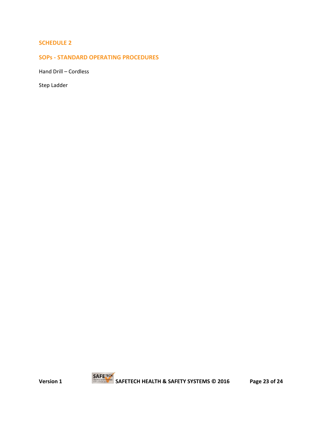# **SCHEDULE 2**

#### **SOPs - STANDARD OPERATING PROCEDURES**

Hand Drill – Cordless

Step Ladder